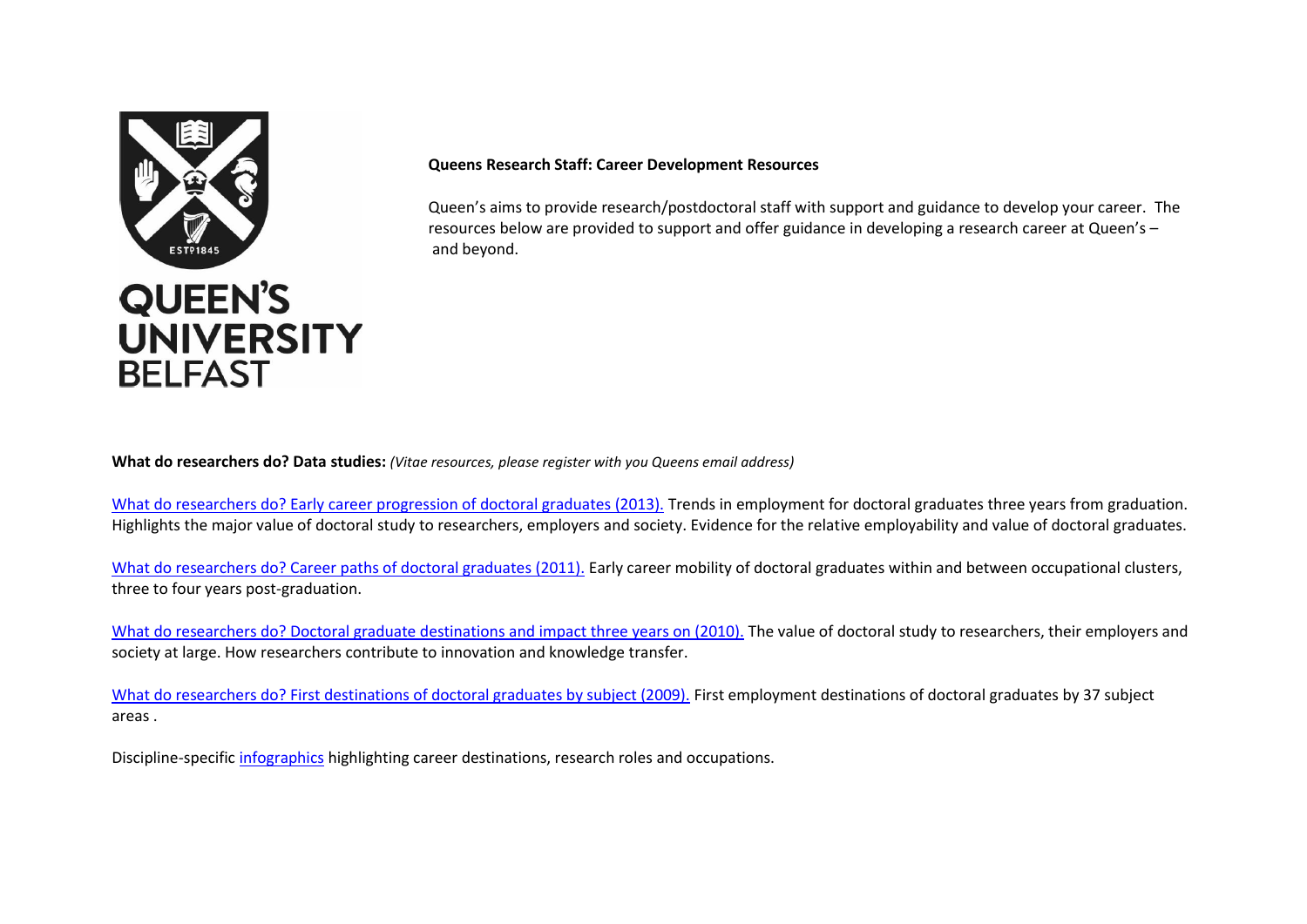

### **Queens Research Staff: Career Development Resources**

Queen's aims to provide research/postdoctoral staff with support and guidance to develop your career. The resources below are provided to support and offer guidance in developing a research career at Queen's –  and beyond.

**What do researchers do? Data studies:** *(Vitae resources, please register with you Queens email address)*

[What do researchers do? Early career progression of doctoral graduates \(2013\).](https://www.vitae.ac.uk/vitae-publications/reports/what-do-researchers-do-early-career-progression-2013.pdf/view) Trends in employment for doctoral graduates three years from graduation. Highlights the major value of doctoral study to researchers, employers and society. Evidence for the relative employability and value of doctoral graduates.

[What do researchers do? Career paths of doctoral graduates \(2011\).](https://www.vitae.ac.uk/vitae-publications/reports/what-do-researchers-do-career-paths-vitae-2011.pdf/view) Early career mobility of doctoral graduates within and between occupational clusters, three to four years post-graduation.

[What do researchers do? Doctoral graduate destinations and impact three years on \(2010\).](https://www.vitae.ac.uk/vitae-publications/reports/what-do-researchers-do-wdrd-3-years-on-soft-copy-vitae.pdf/view) The value of doctoral study to researchers, their employers and society at large. How researchers contribute to innovation and knowledge transfer.

[What do researchers do? First destinations of doctoral graduates by subject \(2009\).](https://www.vitae.ac.uk/vitae-publications/reports/what-do-researchers-do-wdrd-by-subject-vitae-jun-2009.pdf/view) First employment destinations of doctoral graduates by 37 subject areas .

Discipline-specific [infographics](https://www.vitae.ac.uk/impact-and-evaluation/what-do-researchers-do/career-destinations-by-discipline-infographics-1) highlighting career destinations, research roles and occupations.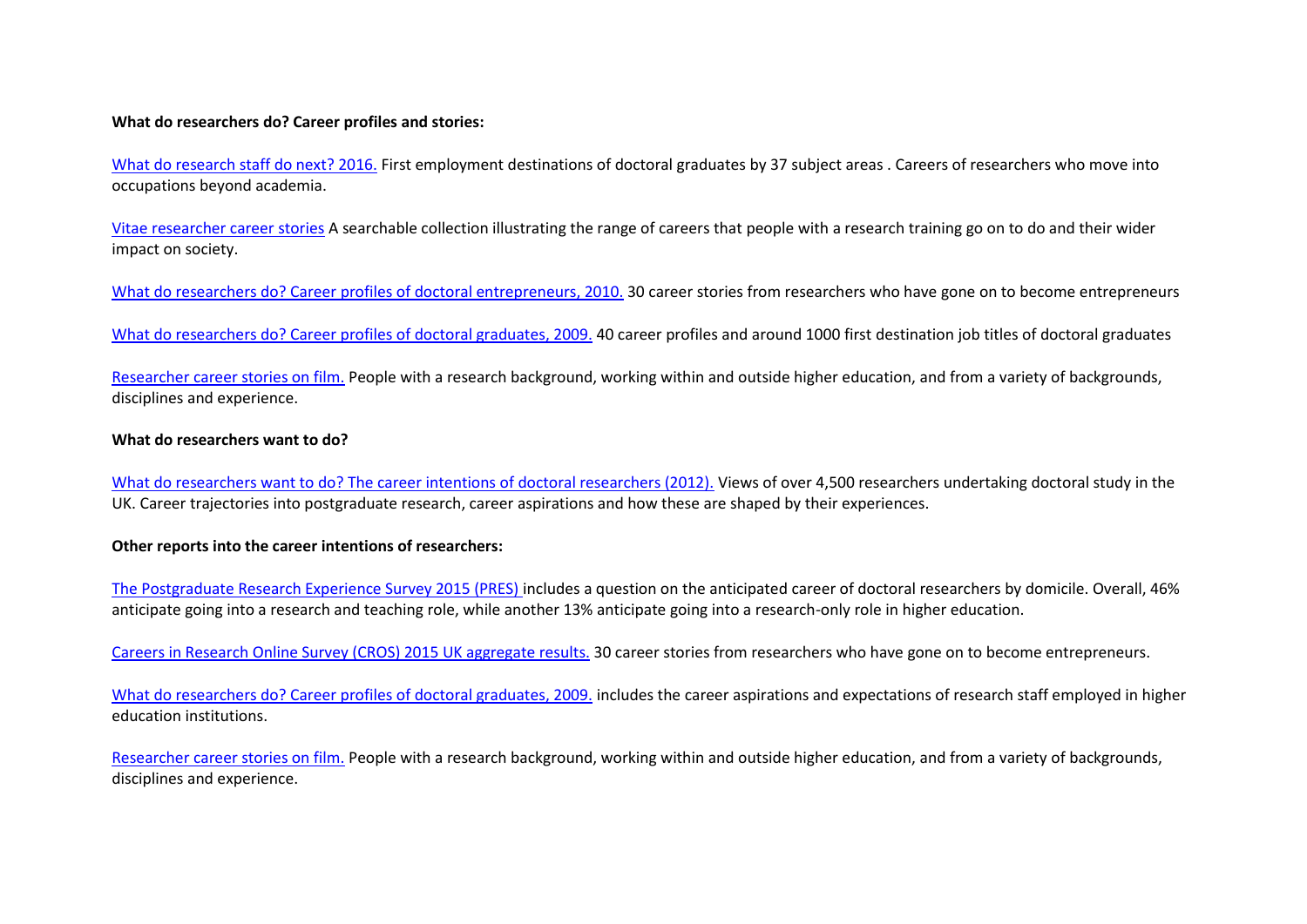#### **What do researchers do? Career profiles and stories:**

[What do research staff do next? 2016.](https://www.vitae.ac.uk/vitae-publications/reports/vitae-what-do-research-staff-do-next-2016.pdf) First employment destinations of doctoral graduates by 37 subject areas . Careers of researchers who move into occupations beyond academia.

[Vitae researcher career stories](https://www.vitae.ac.uk/researcher-careers/researcher-career-stories) A searchable collection illustrating the range of careers that people with a research training go on to do and their wider impact on society.

[What do researchers do? Career profiles of doctoral entrepreneurs, 2010.](https://www.vitae.ac.uk/vitae-publications/reports/what-do-researchers-do-career-profiles-of-doctoral-entrepreneurs-vitae-2010.pdf/view) 30 career stories from researchers who have gone on to become entrepreneurs

[What do researchers do? Career profiles of doctoral graduates, 2009.](https://www.vitae.ac.uk/vitae-publications/reports/what-do-researchers-do-wdrd-career-profiles-vitae-jun-2009.pdf/view) 40 career profiles and around 1000 first destination job titles of doctoral graduates

[Researcher career stories on film.](https://https/www.vitae.ac.uk/researcher-careers/researcher-career-stories/list-of-vitae-career-stories-on-film) People with a research background, working within and outside higher education, and from a variety of backgrounds, disciplines and experience.

#### **What do researchers want to do?**

[What do researchers want to do? The career intentions of doctoral researchers \(2012\).](https://www.vitae.ac.uk/acl_users/credentials_cookie_auth/require_login?came_from=https%3A//www.vitae.ac.uk/vitae-publications/reports/wdrwtd-the-career-intentions-of-doctoral-graduates-feb12.pdf/view) Views of over 4,500 researchers undertaking doctoral study in the UK. Career trajectories into postgraduate research, career aspirations and how these are shaped by their experiences.

#### **Other reports into the career intentions of researchers:**

[The Postgraduate Research Experience Survey 2015 \(PRES\) i](https://www.heacademy.ac.uk/institutions/surveys/postgraduate-research-experience-survey)ncludes a question on the anticipated career of doctoral researchers by domicile. Overall, 46% anticipate going into a research and teaching role, while another 13% anticipate going into a research-only role in higher education.

[Careers in Research Online Survey \(CROS\) 2015 UK aggregate results.](https://www.vitae.ac.uk/vitae-publications/reports/vitae-careers-in-research-online-survey-report-2015-for-cros.pdf/view) 30 career stories from researchers who have gone on to become entrepreneurs.

[What do researchers do? Career profiles of doctoral graduates, 2009.](https://www.vitae.ac.uk/vitae-publications/reports/what-do-researchers-do-wdrd-career-profiles-vitae-jun-2009.pdf/view) includes the career aspirations and expectations of research staff employed in higher education institutions.

[Researcher career stories on film.](https://https/www.vitae.ac.uk/researcher-careers/researcher-career-stories/list-of-vitae-career-stories-on-film) People with a research background, working within and outside higher education, and from a variety of backgrounds, disciplines and experience.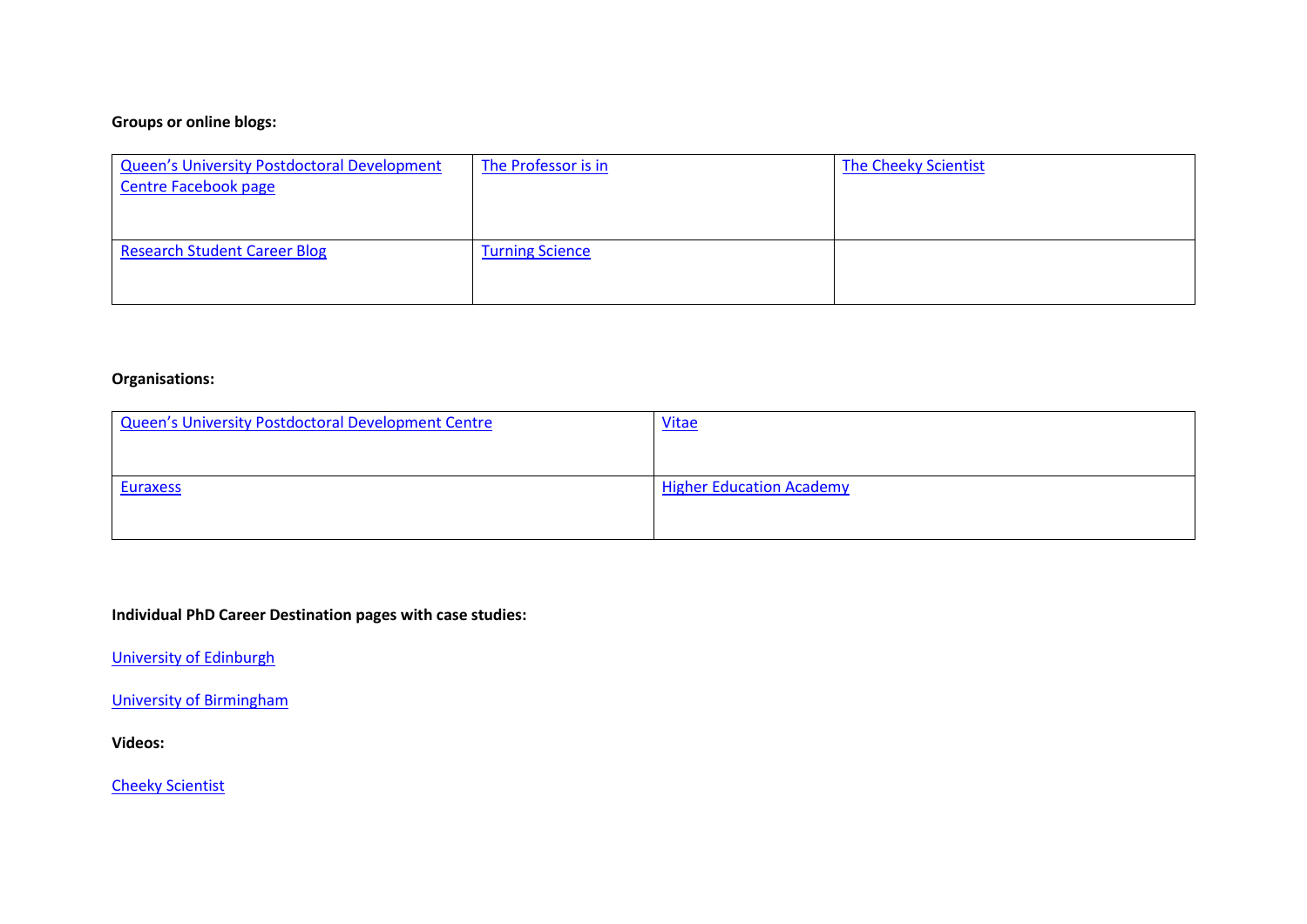# **Groups or online blogs:**

| <b>Queen's University Postdoctoral Development</b><br><b>Centre Facebook page</b> | The Professor is in    | The Cheeky Scientist |
|-----------------------------------------------------------------------------------|------------------------|----------------------|
| <b>Research Student Career Blog</b>                                               | <b>Turning Science</b> |                      |

## **Organisations:**

| <b>Vitae</b>                    |
|---------------------------------|
|                                 |
| <b>Higher Education Academy</b> |
|                                 |
|                                 |

# **Individual PhD Career Destination pages with case studies:**

[University of Edinburgh](https://www.ed.ac.uk/careers/postgrad/phd/options/case-studies)

[University of Birmingham](https://intranet.birmingham.ac.uk/as/employability/careers/postgraduate/pgr/what-do-phd-grads-do.aspx)

**Videos:**

[Cheeky Scientist](https://www.youtube.com/channel/UC3HURHIN1Qw5tsoT8_PE0CA)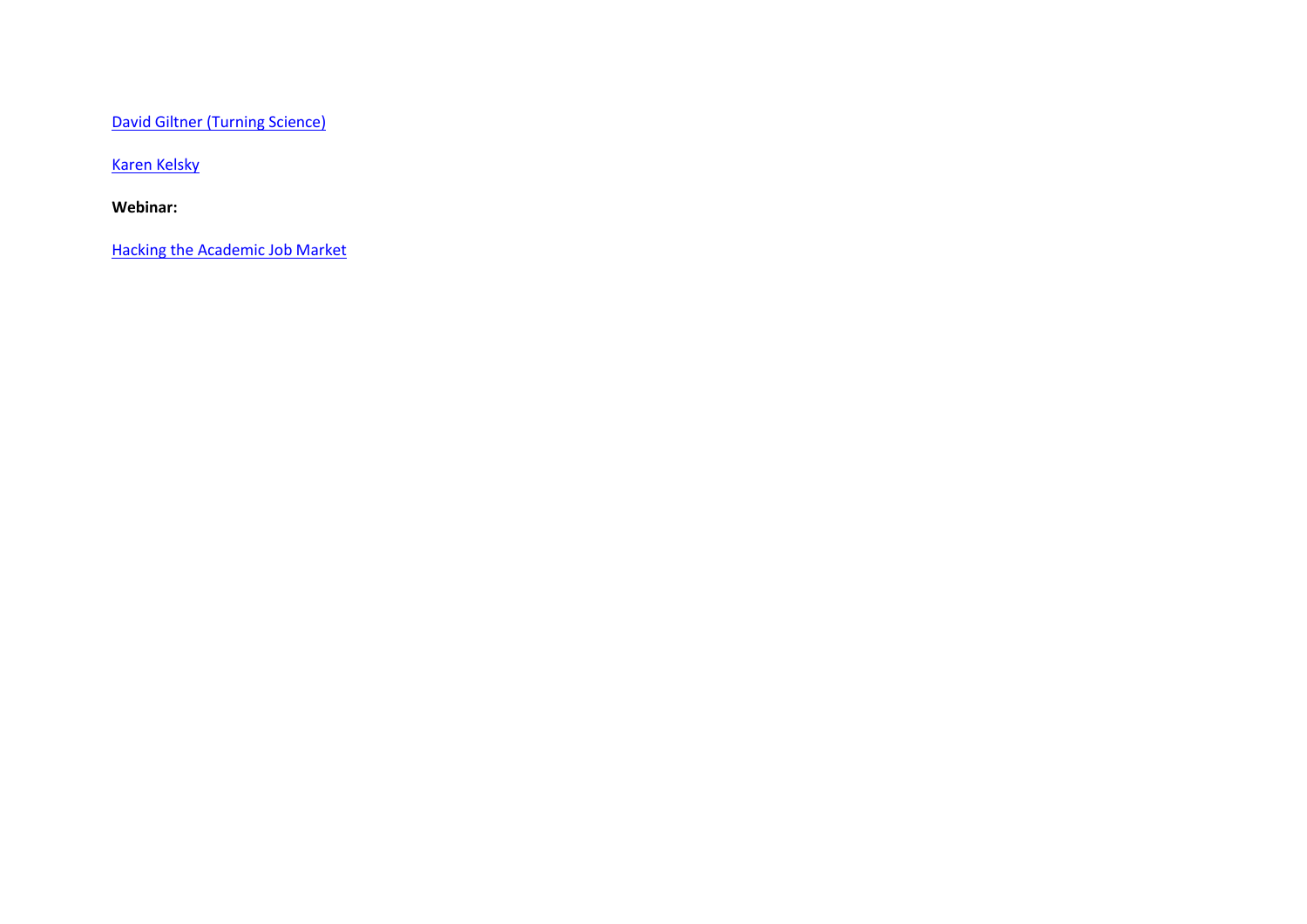[David Giltner \(Turning Science\)](https://www.youtube.com/channel/UCrkeHUyE_HNuIhdC7nhp6Vg)

[Karen Kelsky](https://www.youtube.com/watch?v=jMcYMdUaRJs)

**Webinar:**

[Hacking the Academic Job Market](https://mediasite.qub.ac.uk/Mediasite/Login?ReturnUrl=%2fMediasite%2fPlay%2f53c1a5c9dcf942f0bcb25ba43567aa141d)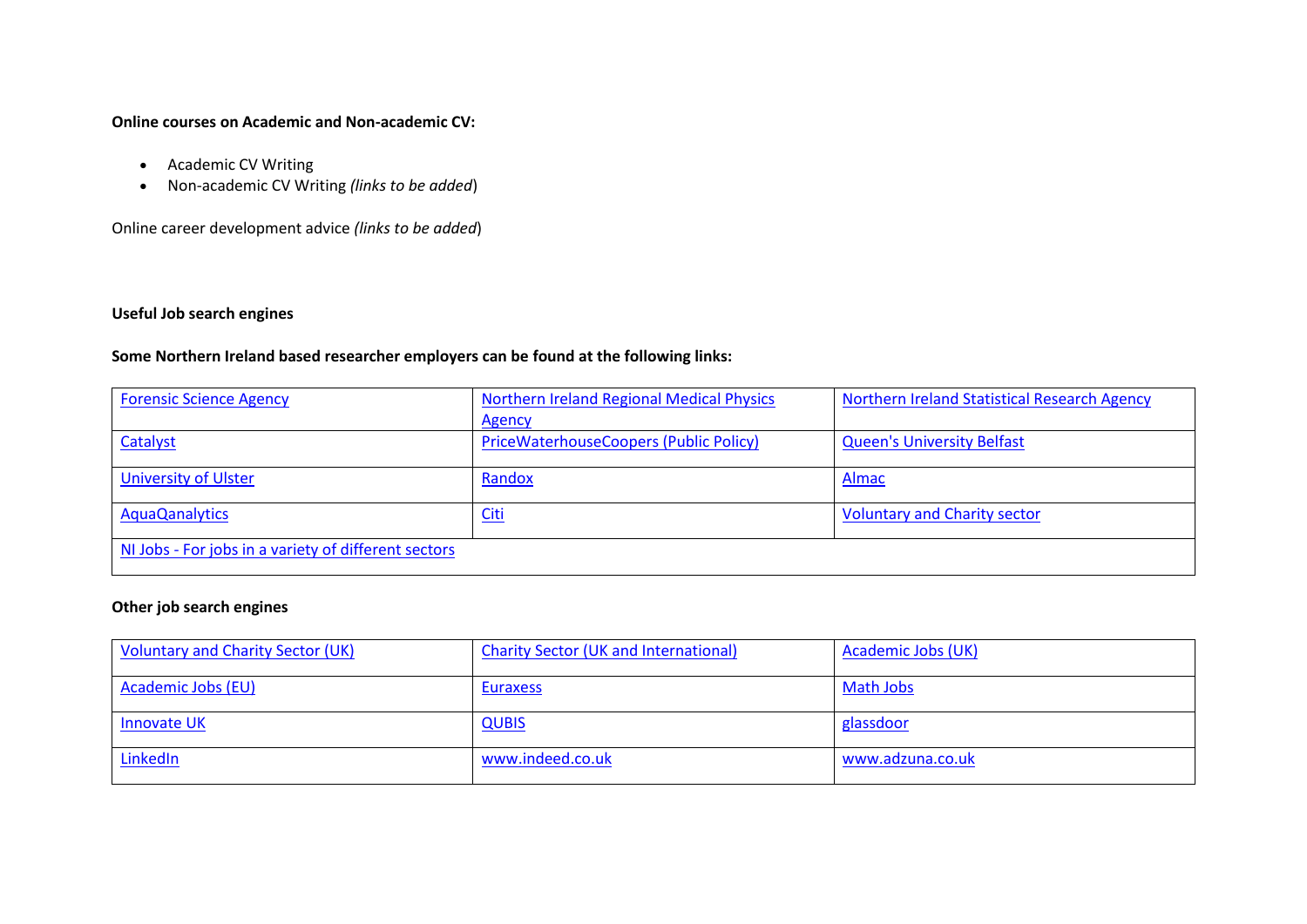### **Online courses on Academic and Non-academic CV:**

- Academic CV Writing
- Non-academic CV Writing *(links to be added*)

Online career development advice *(links to be added*)

## **Useful Job search engines**

# **Some Northern Ireland based researcher employers can be found at the following links:**

| <b>Forensic Science Agency</b>                       | <b>Northern Ireland Regional Medical Physics</b> | Northern Ireland Statistical Research Agency |
|------------------------------------------------------|--------------------------------------------------|----------------------------------------------|
|                                                      | <b>Agency</b>                                    |                                              |
| Catalyst                                             | <b>PriceWaterhouseCoopers (Public Policy)</b>    | <b>Queen's University Belfast</b>            |
|                                                      |                                                  |                                              |
| <b>University of Ulster</b>                          | Randox                                           | Almac                                        |
| <b>AquaQanalytics</b>                                | <u>Citi</u>                                      | <b>Voluntary and Charity sector</b>          |
|                                                      |                                                  |                                              |
| NI Jobs - For jobs in a variety of different sectors |                                                  |                                              |
|                                                      |                                                  |                                              |

## **Other job search engines**

| <b>Voluntary and Charity Sector (UK)</b> | <b>Charity Sector (UK and International)</b> | Academic Jobs (UK) |
|------------------------------------------|----------------------------------------------|--------------------|
| Academic Jobs (EU)                       | <b>Euraxess</b>                              | Math Jobs          |
| <b>Innovate UK</b>                       | <b>QUBIS</b>                                 | glassdoor          |
| LinkedIn                                 | www.indeed.co.uk                             | www.adzuna.co.uk   |